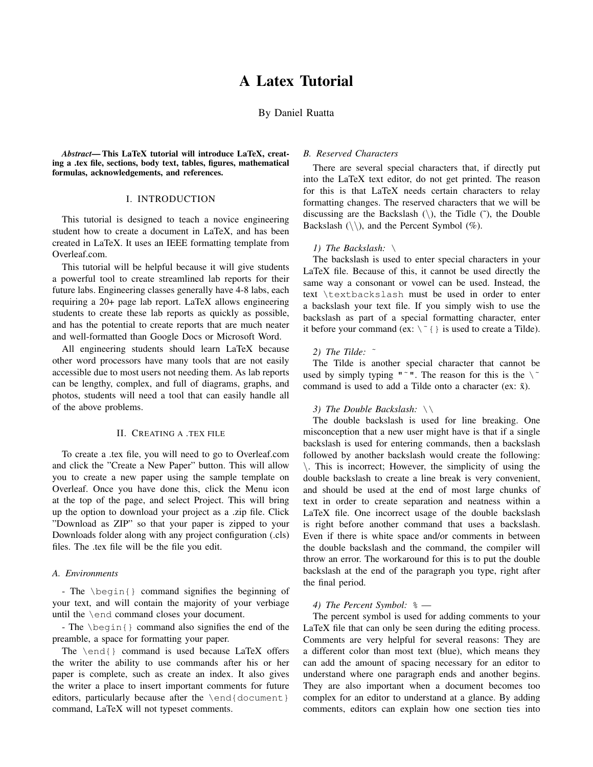# By Daniel Ruatta

*Abstract*— This LaTeX tutorial will introduce LaTeX, creating a .tex file, sections, body text, tables, figures, mathematical formulas, acknowledgements, and references.

## I. INTRODUCTION

This tutorial is designed to teach a novice engineering student how to create a document in LaTeX, and has been created in LaTeX. It uses an IEEE formatting template from Overleaf.com.

This tutorial will be helpful because it will give students a powerful tool to create streamlined lab reports for their future labs. Engineering classes generally have 4-8 labs, each requiring a 20+ page lab report. LaTeX allows engineering students to create these lab reports as quickly as possible, and has the potential to create reports that are much neater and well-formatted than Google Docs or Microsoft Word.

All engineering students should learn LaTeX because other word processors have many tools that are not easily accessible due to most users not needing them. As lab reports can be lengthy, complex, and full of diagrams, graphs, and photos, students will need a tool that can easily handle all of the above problems.

## II. CREATING A .TEX FILE

To create a .tex file, you will need to go to Overleaf.com and click the "Create a New Paper" button. This will allow you to create a new paper using the sample template on Overleaf. Once you have done this, click the Menu icon at the top of the page, and select Project. This will bring up the option to download your project as a .zip file. Click "Download as ZIP" so that your paper is zipped to your Downloads folder along with any project configuration (.cls) files. The .tex file will be the file you edit.

## *A. Environments*

- The \begin{} command signifies the beginning of your text, and will contain the majority of your verbiage until the \end command closes your document.

- The \begin{} command also signifies the end of the preamble, a space for formatting your paper.

The \end{} command is used because LaTeX offers the writer the ability to use commands after his or her paper is complete, such as create an index. It also gives the writer a place to insert important comments for future editors, particularly because after the \end{document} command, LaTeX will not typeset comments.

## *B. Reserved Characters*

There are several special characters that, if directly put into the LaTeX text editor, do not get printed. The reason for this is that LaTeX needs certain characters to relay formatting changes. The reserved characters that we will be discussing are the Backslash  $(\cdot)$ , the Tidle  $(\tilde{\cdot})$ , the Double Backslash  $(\setminus)$ , and the Percent Symbol (%).

## *1) The Backslash:* \

The backslash is used to enter special characters in your LaTeX file. Because of this, it cannot be used directly the same way a consonant or vowel can be used. Instead, the text \textbackslash must be used in order to enter a backslash your text file. If you simply wish to use the backslash as part of a special formatting character, enter it before your command (ex:  $\{ \check{\ } \}$  is used to create a Tilde).

#### *2) The Tilde:* ˜

The Tilde is another special character that cannot be used by simply typing " $\degree$ ". The reason for this is the  $\degree$ command is used to add a Tilde onto a character (ex:  $\tilde{x}$ ).

## *3) The Double Backslash:* \\

The double backslash is used for line breaking. One misconception that a new user might have is that if a single backslash is used for entering commands, then a backslash followed by another backslash would create the following: \. This is incorrect; However, the simplicity of using the double backslash to create a line break is very convenient, and should be used at the end of most large chunks of text in order to create separation and neatness within a LaTeX file. One incorrect usage of the double backslash is right before another command that uses a backslash. Even if there is white space and/or comments in between the double backslash and the command, the compiler will throw an error. The workaround for this is to put the double backslash at the end of the paragraph you type, right after the final period.

#### *4) The Percent Symbol:* % —

The percent symbol is used for adding comments to your LaTeX file that can only be seen during the editing process. Comments are very helpful for several reasons: They are a different color than most text (blue), which means they can add the amount of spacing necessary for an editor to understand where one paragraph ends and another begins. They are also important when a document becomes too complex for an editor to understand at a glance. By adding comments, editors can explain how one section ties into